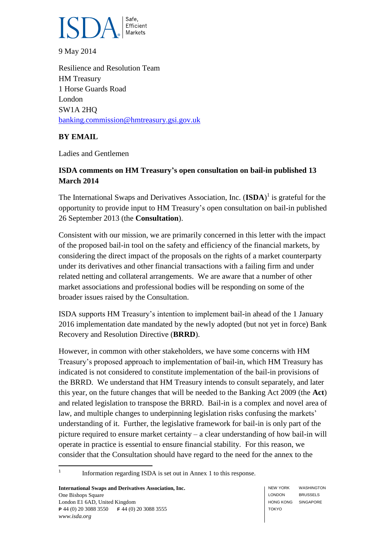

9 May 2014

Resilience and Resolution Team HM Treasury 1 Horse Guards Road London SW1A 2HQ [banking.commission@hmtreasury.gsi.gov.uk](mailto:banking.commission@hmtreasury.gsi.gov.uk)

## **BY EMAIL**

Ladies and Gentlemen

# **ISDA comments on HM Treasury's open consultation on bail-in published 13 March 2014**

The International Swaps and Derivatives Association, Inc. (**ISDA**) 1 is grateful for the opportunity to provide input to HM Treasury's open consultation on bail-in published 26 September 2013 (the **Consultation**).

Consistent with our mission, we are primarily concerned in this letter with the impact of the proposed bail-in tool on the safety and efficiency of the financial markets, by considering the direct impact of the proposals on the rights of a market counterparty under its derivatives and other financial transactions with a failing firm and under related netting and collateral arrangements. We are aware that a number of other market associations and professional bodies will be responding on some of the broader issues raised by the Consultation.

ISDA supports HM Treasury's intention to implement bail-in ahead of the 1 January 2016 implementation date mandated by the newly adopted (but not yet in force) Bank Recovery and Resolution Directive (**BRRD**).

However, in common with other stakeholders, we have some concerns with HM Treasury's proposed approach to implementation of bail-in, which HM Treasury has indicated is not considered to constitute implementation of the bail-in provisions of the BRRD. We understand that HM Treasury intends to consult separately, and later this year, on the future changes that will be needed to the Banking Act 2009 (the **Act**) and related legislation to transpose the BRRD. Bail-in is a complex and novel area of law, and multiple changes to underpinning legislation risks confusing the markets' understanding of it. Further, the legislative framework for bail-in is only part of the picture required to ensure market certainty – a clear understanding of how bail-in will operate in practice is essential to ensure financial stability. For this reason, we consider that the Consultation should have regard to the need for the annex to the

 $\frac{1}{1}$ Information regarding ISDA is set out in Annex 1 to this response.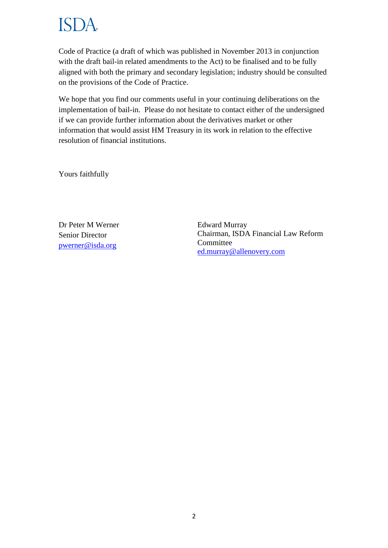# ISI )A

Code of Practice (a draft of which was published in November 2013 in conjunction with the draft bail-in related amendments to the Act) to be finalised and to be fully aligned with both the primary and secondary legislation; industry should be consulted on the provisions of the Code of Practice.

We hope that you find our comments useful in your continuing deliberations on the implementation of bail-in. Please do not hesitate to contact either of the undersigned if we can provide further information about the derivatives market or other information that would assist HM Treasury in its work in relation to the effective resolution of financial institutions.

Yours faithfully

Dr Peter M Werner Senior Director [pwerner@isda.org](mailto:pwerner@isda.org)

Edward Murray Chairman, ISDA Financial Law Reform Committee [ed.murray@allenovery.com](mailto:ed.murray@allenovery.com)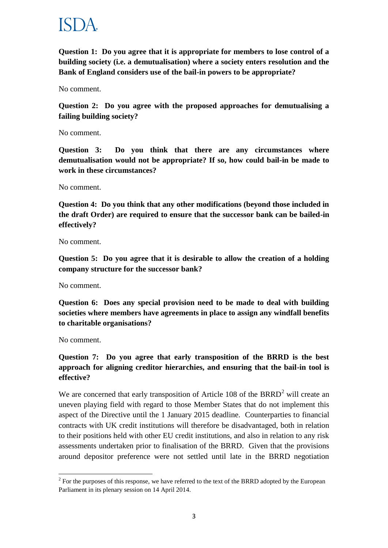

**Question 1: Do you agree that it is appropriate for members to lose control of a building society (i.e. a demutualisation) where a society enters resolution and the Bank of England considers use of the bail-in powers to be appropriate?** 

No comment.

**Question 2: Do you agree with the proposed approaches for demutualising a failing building society?** 

No comment.

**Question 3: Do you think that there are any circumstances where demutualisation would not be appropriate? If so, how could bail-in be made to work in these circumstances?**

No comment.

**Question 4: Do you think that any other modifications (beyond those included in the draft Order) are required to ensure that the successor bank can be bailed-in effectively?** 

No comment.

**Question 5: Do you agree that it is desirable to allow the creation of a holding company structure for the successor bank?** 

No comment.

**Question 6: Does any special provision need to be made to deal with building societies where members have agreements in place to assign any windfall benefits to charitable organisations?**

No comment.

1

### **Question 7: Do you agree that early transposition of the BRRD is the best approach for aligning creditor hierarchies, and ensuring that the bail-in tool is effective?**

We are concerned that early transposition of Article 108 of the BRRD<sup>2</sup> will create an uneven playing field with regard to those Member States that do not implement this aspect of the Directive until the 1 January 2015 deadline. Counterparties to financial contracts with UK credit institutions will therefore be disadvantaged, both in relation to their positions held with other EU credit institutions, and also in relation to any risk assessments undertaken prior to finalisation of the BRRD. Given that the provisions around depositor preference were not settled until late in the BRRD negotiation

 $2^2$  For the purposes of this response, we have referred to the text of the BRRD adopted by the European Parliament in its plenary session on 14 April 2014.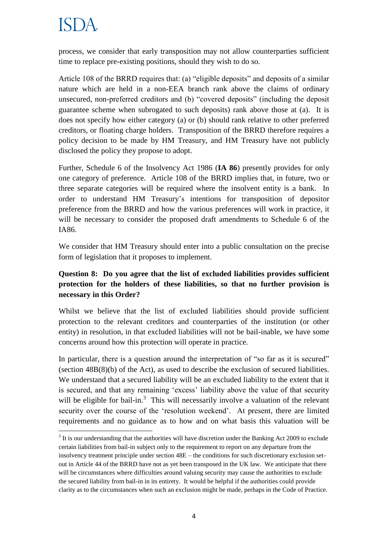**.** 

process, we consider that early transposition may not allow counterparties sufficient time to replace pre-existing positions, should they wish to do so.

Article 108 of the BRRD requires that: (a) "eligible deposits" and deposits of a similar nature which are held in a non-EEA branch rank above the claims of ordinary unsecured, non-preferred creditors and (b) "covered deposits" (including the deposit guarantee scheme when subrogated to such deposits) rank above those at (a). It is does not specify how either category (a) or (b) should rank relative to other preferred creditors, or floating charge holders. Transposition of the BRRD therefore requires a policy decision to be made by HM Treasury, and HM Treasury have not publicly disclosed the policy they propose to adopt.

Further, Schedule 6 of the Insolvency Act 1986 (**IA 86**) presently provides for only one category of preference. Article 108 of the BRRD implies that, in future, two or three separate categories will be required where the insolvent entity is a bank. In order to understand HM Treasury's intentions for transposition of depositor preference from the BRRD and how the various preferences will work in practice, it will be necessary to consider the proposed draft amendments to Schedule 6 of the IA86.

We consider that HM Treasury should enter into a public consultation on the precise form of legislation that it proposes to implement.

# **Question 8: Do you agree that the list of excluded liabilities provides sufficient protection for the holders of these liabilities, so that no further provision is necessary in this Order?**

Whilst we believe that the list of excluded liabilities should provide sufficient protection to the relevant creditors and counterparties of the institution (or other entity) in resolution, in that excluded liabilities will not be bail-inable, we have some concerns around how this protection will operate in practice.

In particular, there is a question around the interpretation of "so far as it is secured" (section 48B(8)(b) of the Act), as used to describe the exclusion of secured liabilities. We understand that a secured liability will be an excluded liability to the extent that it is secured, and that any remaining 'excess' liability above the value of that security will be eligible for bail-in.<sup>3</sup> This will necessarily involve a valuation of the relevant security over the course of the 'resolution weekend'. At present, there are limited requirements and no guidance as to how and on what basis this valuation will be

 $3$  It is our understanding that the authorities will have discretion under the Banking Act 2009 to exclude certain liabilities from bail-in subject only to the requirement to report on any departure from the insolvency treatment principle under section 48E – the conditions for such discretionary exclusion setout in Article 44 of the BRRD have not as yet been transposed in the UK law. We anticipate that there will be circumstances where difficulties around valuing security may cause the authorities to exclude the secured liability from bail-in in its entirety. It would be helpful if the authorities could provide clarity as to the circumstances when such an exclusion might be made, perhaps in the Code of Practice.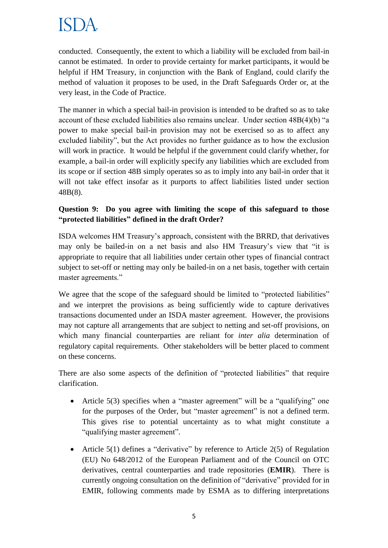conducted. Consequently, the extent to which a liability will be excluded from bail-in cannot be estimated. In order to provide certainty for market participants, it would be helpful if HM Treasury, in conjunction with the Bank of England, could clarify the method of valuation it proposes to be used, in the Draft Safeguards Order or, at the very least, in the Code of Practice.

The manner in which a special bail-in provision is intended to be drafted so as to take account of these excluded liabilities also remains unclear. Under section 48B(4)(b) "a power to make special bail-in provision may not be exercised so as to affect any excluded liability", but the Act provides no further guidance as to how the exclusion will work in practice. It would be helpful if the government could clarify whether, for example, a bail-in order will explicitly specify any liabilities which are excluded from its scope or if section 48B simply operates so as to imply into any bail-in order that it will not take effect insofar as it purports to affect liabilities listed under section 48B(8).

# **Question 9: Do you agree with limiting the scope of this safeguard to those "protected liabilities" defined in the draft Order?**

ISDA welcomes HM Treasury's approach, consistent with the BRRD, that derivatives may only be bailed-in on a net basis and also HM Treasury's view that "it is appropriate to require that all liabilities under certain other types of financial contract subject to set-off or netting may only be bailed-in on a net basis, together with certain master agreements."

We agree that the scope of the safeguard should be limited to "protected liabilities" and we interpret the provisions as being sufficiently wide to capture derivatives transactions documented under an ISDA master agreement. However, the provisions may not capture all arrangements that are subject to netting and set-off provisions, on which many financial counterparties are reliant for *inter alia* determination of regulatory capital requirements. Other stakeholders will be better placed to comment on these concerns.

There are also some aspects of the definition of "protected liabilities" that require clarification.

- Article 5(3) specifies when a "master agreement" will be a "qualifying" one for the purposes of the Order, but "master agreement" is not a defined term. This gives rise to potential uncertainty as to what might constitute a "qualifying master agreement".
- Article  $5(1)$  defines a "derivative" by reference to Article  $2(5)$  of Regulation (EU) No 648/2012 of the European Parliament and of the Council on OTC derivatives, central counterparties and trade repositories (**EMIR**). There is currently ongoing consultation on the definition of "derivative" provided for in EMIR, following comments made by ESMA as to differing interpretations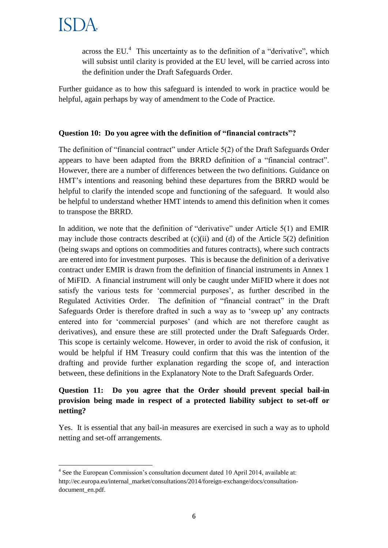across the EU. $<sup>4</sup>$  This uncertainty as to the definition of a "derivative", which</sup> will subsist until clarity is provided at the EU level, will be carried across into the definition under the Draft Safeguards Order.

Further guidance as to how this safeguard is intended to work in practice would be helpful, again perhaps by way of amendment to the Code of Practice.

### **Question 10: Do you agree with the definition of "financial contracts"?**

The definition of "financial contract" under Article 5(2) of the Draft Safeguards Order appears to have been adapted from the BRRD definition of a "financial contract". However, there are a number of differences between the two definitions. Guidance on HMT's intentions and reasoning behind these departures from the BRRD would be helpful to clarify the intended scope and functioning of the safeguard. It would also be helpful to understand whether HMT intends to amend this definition when it comes to transpose the BRRD.

In addition, we note that the definition of "derivative" under Article 5(1) and EMIR may include those contracts described at  $(c)(ii)$  and  $(d)$  of the Article 5(2) definition (being swaps and options on commodities and futures contracts), where such contracts are entered into for investment purposes. This is because the definition of a derivative contract under EMIR is drawn from the definition of financial instruments in Annex 1 of MiFID. A financial instrument will only be caught under MiFID where it does not satisfy the various tests for 'commercial purposes', as further described in the Regulated Activities Order. The definition of "financial contract" in the Draft Safeguards Order is therefore drafted in such a way as to 'sweep up' any contracts entered into for 'commercial purposes' (and which are not therefore caught as derivatives), and ensure these are still protected under the Draft Safeguards Order. This scope is certainly welcome. However, in order to avoid the risk of confusion, it would be helpful if HM Treasury could confirm that this was the intention of the drafting and provide further explanation regarding the scope of, and interaction between, these definitions in the Explanatory Note to the Draft Safeguards Order.

## **Question 11: Do you agree that the Order should prevent special bail-in provision being made in respect of a protected liability subject to set-off or netting?**

Yes. It is essential that any bail-in measures are exercised in such a way as to uphold netting and set-off arrangements.

**<sup>.</sup>** <sup>4</sup> See the European Commission's consultation document dated 10 April 2014, available at: http://ec.europa.eu/internal\_market/consultations/2014/foreign-exchange/docs/consultationdocument\_en.pdf.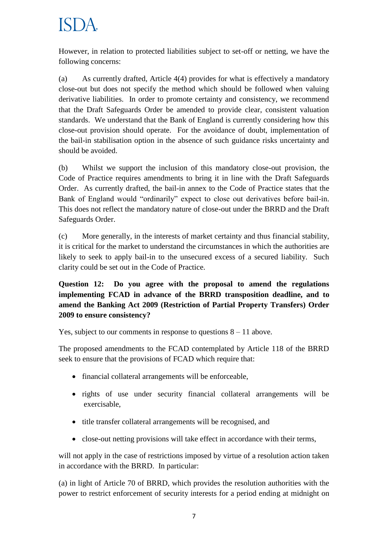However, in relation to protected liabilities subject to set-off or netting, we have the following concerns:

(a) As currently drafted, Article 4(4) provides for what is effectively a mandatory close-out but does not specify the method which should be followed when valuing derivative liabilities. In order to promote certainty and consistency, we recommend that the Draft Safeguards Order be amended to provide clear, consistent valuation standards. We understand that the Bank of England is currently considering how this close-out provision should operate. For the avoidance of doubt, implementation of the bail-in stabilisation option in the absence of such guidance risks uncertainty and should be avoided.

(b) Whilst we support the inclusion of this mandatory close-out provision, the Code of Practice requires amendments to bring it in line with the Draft Safeguards Order. As currently drafted, the bail-in annex to the Code of Practice states that the Bank of England would "ordinarily" expect to close out derivatives before bail-in. This does not reflect the mandatory nature of close-out under the BRRD and the Draft Safeguards Order.

(c) More generally, in the interests of market certainty and thus financial stability, it is critical for the market to understand the circumstances in which the authorities are likely to seek to apply bail-in to the unsecured excess of a secured liability. Such clarity could be set out in the Code of Practice.

**Question 12: Do you agree with the proposal to amend the regulations implementing FCAD in advance of the BRRD transposition deadline, and to amend the Banking Act 2009 (Restriction of Partial Property Transfers) Order 2009 to ensure consistency?**

Yes, subject to our comments in response to questions  $8 - 11$  above.

The proposed amendments to the FCAD contemplated by Article 118 of the BRRD seek to ensure that the provisions of FCAD which require that:

- financial collateral arrangements will be enforceable,
- rights of use under security financial collateral arrangements will be exercisable,
- title transfer collateral arrangements will be recognised, and
- close-out netting provisions will take effect in accordance with their terms,

will not apply in the case of restrictions imposed by virtue of a resolution action taken in accordance with the BRRD. In particular:

(a) in light of Article 70 of BRRD, which provides the resolution authorities with the power to restrict enforcement of security interests for a period ending at midnight on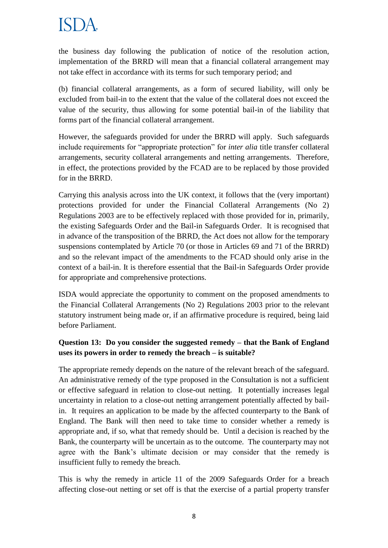the business day following the publication of notice of the resolution action, implementation of the BRRD will mean that a financial collateral arrangement may not take effect in accordance with its terms for such temporary period; and

(b) financial collateral arrangements, as a form of secured liability, will only be excluded from bail-in to the extent that the value of the collateral does not exceed the value of the security, thus allowing for some potential bail-in of the liability that forms part of the financial collateral arrangement.

However, the safeguards provided for under the BRRD will apply. Such safeguards include requirements for "appropriate protection" for *inter alia* title transfer collateral arrangements, security collateral arrangements and netting arrangements. Therefore, in effect, the protections provided by the FCAD are to be replaced by those provided for in the BRRD.

Carrying this analysis across into the UK context, it follows that the (very important) protections provided for under the Financial Collateral Arrangements (No 2) Regulations 2003 are to be effectively replaced with those provided for in, primarily, the existing Safeguards Order and the Bail-in Safeguards Order. It is recognised that in advance of the transposition of the BRRD, the Act does not allow for the temporary suspensions contemplated by Article 70 (or those in Articles 69 and 71 of the BRRD) and so the relevant impact of the amendments to the FCAD should only arise in the context of a bail-in. It is therefore essential that the Bail-in Safeguards Order provide for appropriate and comprehensive protections.

ISDA would appreciate the opportunity to comment on the proposed amendments to the Financial Collateral Arrangements (No 2) Regulations 2003 prior to the relevant statutory instrument being made or, if an affirmative procedure is required, being laid before Parliament.

# **Question 13: Do you consider the suggested remedy – that the Bank of England uses its powers in order to remedy the breach – is suitable?**

The appropriate remedy depends on the nature of the relevant breach of the safeguard. An administrative remedy of the type proposed in the Consultation is not a sufficient or effective safeguard in relation to close-out netting. It potentially increases legal uncertainty in relation to a close-out netting arrangement potentially affected by bailin. It requires an application to be made by the affected counterparty to the Bank of England. The Bank will then need to take time to consider whether a remedy is appropriate and, if so, what that remedy should be. Until a decision is reached by the Bank, the counterparty will be uncertain as to the outcome. The counterparty may not agree with the Bank's ultimate decision or may consider that the remedy is insufficient fully to remedy the breach.

This is why the remedy in article 11 of the 2009 Safeguards Order for a breach affecting close-out netting or set off is that the exercise of a partial property transfer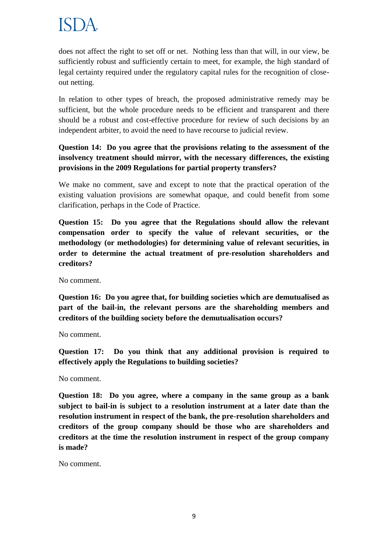does not affect the right to set off or net. Nothing less than that will, in our view, be sufficiently robust and sufficiently certain to meet, for example, the high standard of legal certainty required under the regulatory capital rules for the recognition of closeout netting.

In relation to other types of breach, the proposed administrative remedy may be sufficient, but the whole procedure needs to be efficient and transparent and there should be a robust and cost-effective procedure for review of such decisions by an independent arbiter, to avoid the need to have recourse to judicial review.

## **Question 14: Do you agree that the provisions relating to the assessment of the insolvency treatment should mirror, with the necessary differences, the existing provisions in the 2009 Regulations for partial property transfers?**

We make no comment, save and except to note that the practical operation of the existing valuation provisions are somewhat opaque, and could benefit from some clarification, perhaps in the Code of Practice.

**Question 15: Do you agree that the Regulations should allow the relevant compensation order to specify the value of relevant securities, or the methodology (or methodologies) for determining value of relevant securities, in order to determine the actual treatment of pre-resolution shareholders and creditors?**

No comment.

**Question 16: Do you agree that, for building societies which are demutualised as part of the bail-in, the relevant persons are the shareholding members and creditors of the building society before the demutualisation occurs?** 

No comment.

**Question 17: Do you think that any additional provision is required to effectively apply the Regulations to building societies?**

No comment.

**Question 18: Do you agree, where a company in the same group as a bank subject to bail-in is subject to a resolution instrument at a later date than the resolution instrument in respect of the bank, the pre-resolution shareholders and creditors of the group company should be those who are shareholders and creditors at the time the resolution instrument in respect of the group company is made?** 

No comment.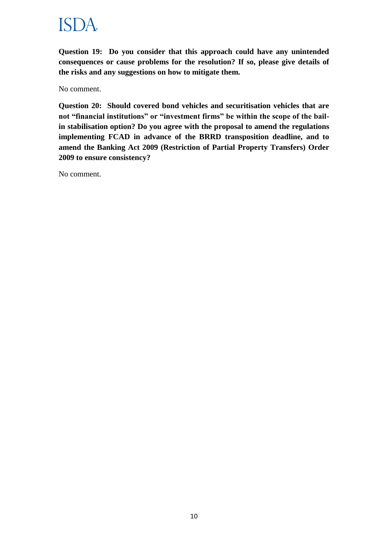**Question 19: Do you consider that this approach could have any unintended consequences or cause problems for the resolution? If so, please give details of the risks and any suggestions on how to mitigate them.**

No comment.

**Question 20: Should covered bond vehicles and securitisation vehicles that are not "financial institutions" or "investment firms" be within the scope of the bailin stabilisation option? Do you agree with the proposal to amend the regulations implementing FCAD in advance of the BRRD transposition deadline, and to amend the Banking Act 2009 (Restriction of Partial Property Transfers) Order 2009 to ensure consistency?**

No comment.